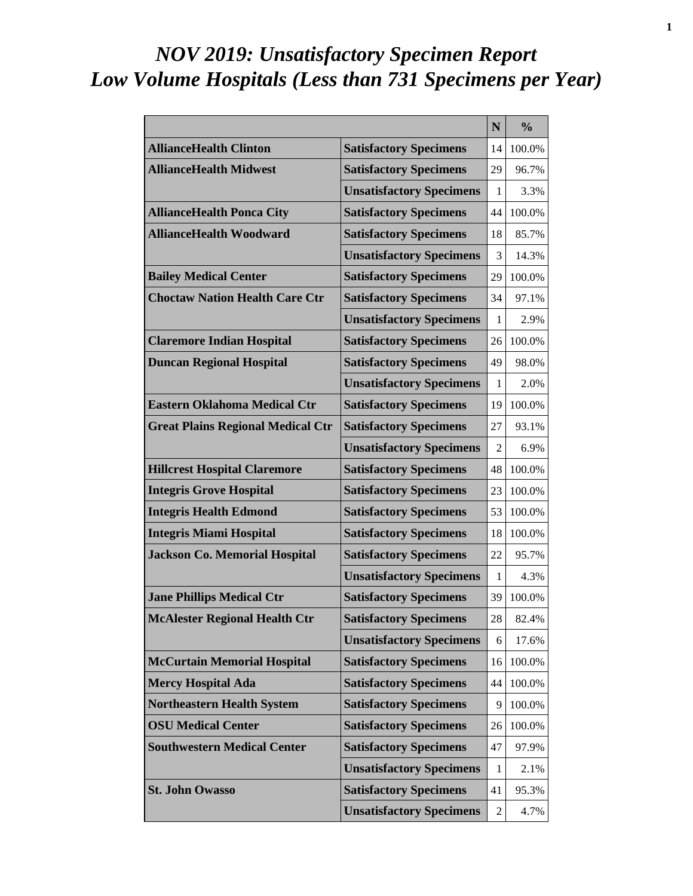# *NOV 2019: Unsatisfactory Specimen Report Low Volume Hospitals (Less than 731 Specimens per Year)*

|                                          |                                 | N  | $\frac{0}{0}$ |
|------------------------------------------|---------------------------------|----|---------------|
| <b>AllianceHealth Clinton</b>            | <b>Satisfactory Specimens</b>   | 14 | 100.0%        |
| <b>AllianceHealth Midwest</b>            | <b>Satisfactory Specimens</b>   | 29 | 96.7%         |
|                                          | <b>Unsatisfactory Specimens</b> | 1  | 3.3%          |
| <b>AllianceHealth Ponca City</b>         | <b>Satisfactory Specimens</b>   | 44 | 100.0%        |
| <b>AllianceHealth Woodward</b>           | <b>Satisfactory Specimens</b>   | 18 | 85.7%         |
|                                          | <b>Unsatisfactory Specimens</b> | 3  | 14.3%         |
| <b>Bailey Medical Center</b>             | <b>Satisfactory Specimens</b>   | 29 | 100.0%        |
| <b>Choctaw Nation Health Care Ctr</b>    | <b>Satisfactory Specimens</b>   | 34 | 97.1%         |
|                                          | <b>Unsatisfactory Specimens</b> | 1  | 2.9%          |
| <b>Claremore Indian Hospital</b>         | <b>Satisfactory Specimens</b>   | 26 | 100.0%        |
| <b>Duncan Regional Hospital</b>          | <b>Satisfactory Specimens</b>   | 49 | 98.0%         |
|                                          | <b>Unsatisfactory Specimens</b> | 1  | 2.0%          |
| <b>Eastern Oklahoma Medical Ctr</b>      | <b>Satisfactory Specimens</b>   | 19 | 100.0%        |
| <b>Great Plains Regional Medical Ctr</b> | <b>Satisfactory Specimens</b>   | 27 | 93.1%         |
|                                          | <b>Unsatisfactory Specimens</b> | 2  | 6.9%          |
| <b>Hillcrest Hospital Claremore</b>      | <b>Satisfactory Specimens</b>   | 48 | 100.0%        |
| <b>Integris Grove Hospital</b>           | <b>Satisfactory Specimens</b>   | 23 | 100.0%        |
| <b>Integris Health Edmond</b>            | <b>Satisfactory Specimens</b>   | 53 | 100.0%        |
| <b>Integris Miami Hospital</b>           | <b>Satisfactory Specimens</b>   | 18 | 100.0%        |
| <b>Jackson Co. Memorial Hospital</b>     | <b>Satisfactory Specimens</b>   | 22 | 95.7%         |
|                                          | <b>Unsatisfactory Specimens</b> | 1  | 4.3%          |
| <b>Jane Phillips Medical Ctr</b>         | <b>Satisfactory Specimens</b>   | 39 | 100.0%        |
| <b>McAlester Regional Health Ctr</b>     | <b>Satisfactory Specimens</b>   | 28 | 82.4%         |
|                                          | <b>Unsatisfactory Specimens</b> | 6  | 17.6%         |
| <b>McCurtain Memorial Hospital</b>       | <b>Satisfactory Specimens</b>   | 16 | 100.0%        |
| <b>Mercy Hospital Ada</b>                | <b>Satisfactory Specimens</b>   | 44 | 100.0%        |
| <b>Northeastern Health System</b>        | <b>Satisfactory Specimens</b>   | 9  | 100.0%        |
| <b>OSU Medical Center</b>                | <b>Satisfactory Specimens</b>   | 26 | 100.0%        |
| <b>Southwestern Medical Center</b>       | <b>Satisfactory Specimens</b>   | 47 | 97.9%         |
|                                          | <b>Unsatisfactory Specimens</b> | 1  | 2.1%          |
| <b>St. John Owasso</b>                   | <b>Satisfactory Specimens</b>   | 41 | 95.3%         |
|                                          | <b>Unsatisfactory Specimens</b> | 2  | 4.7%          |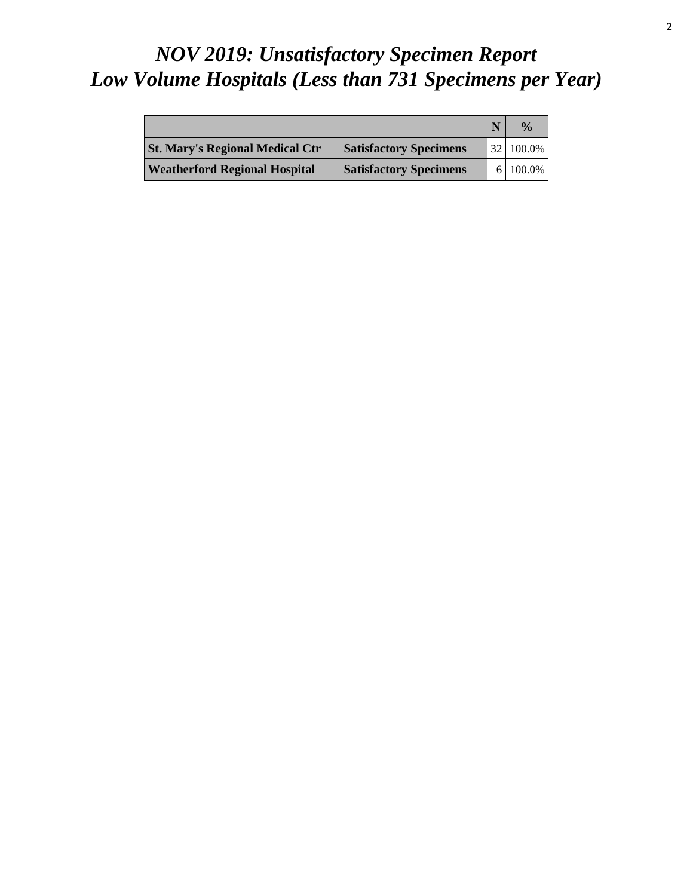# *NOV 2019: Unsatisfactory Specimen Report Low Volume Hospitals (Less than 731 Specimens per Year)*

|                                        |                               | $\frac{0}{a}$          |
|----------------------------------------|-------------------------------|------------------------|
| <b>St. Mary's Regional Medical Ctr</b> | <b>Satisfactory Specimens</b> | $32 \mid 100.0\% \mid$ |
| <b>Weatherford Regional Hospital</b>   | <b>Satisfactory Specimens</b> | $6 100.0\% $           |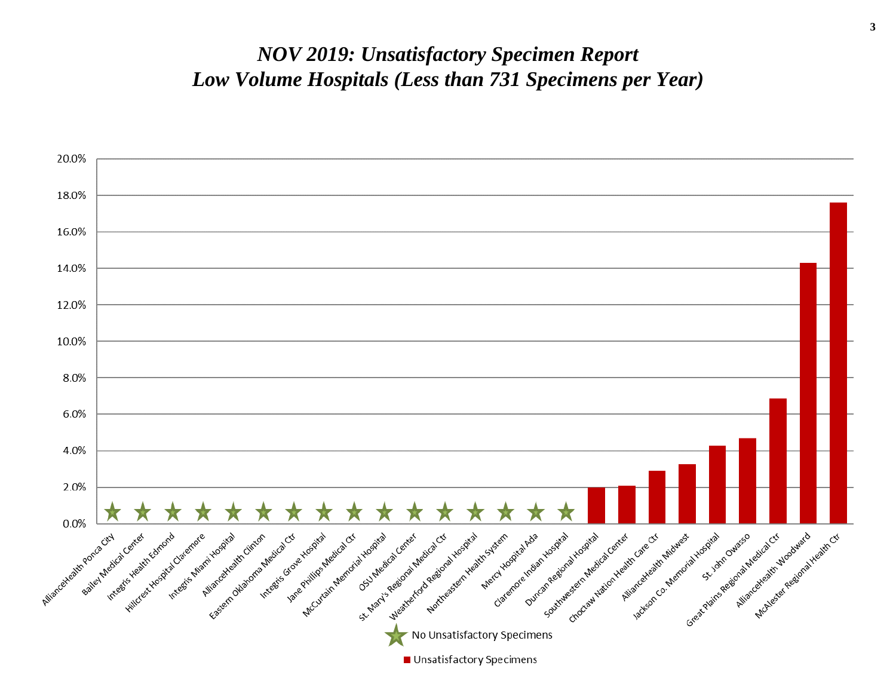#### *NOV 2019: Unsatisfactory Specimen Report Low Volume Hospitals (Less than 731 Specimens per Year)*

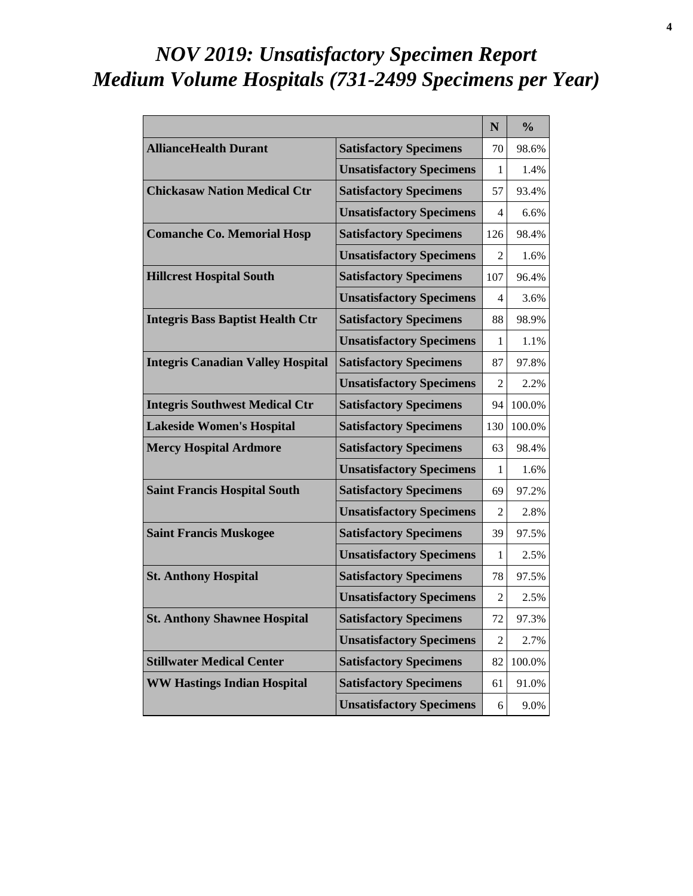# *NOV 2019: Unsatisfactory Specimen Report Medium Volume Hospitals (731-2499 Specimens per Year)*

|                                          |                                 | $\mathbf N$    | $\frac{0}{0}$ |
|------------------------------------------|---------------------------------|----------------|---------------|
| <b>AllianceHealth Durant</b>             | <b>Satisfactory Specimens</b>   | 70             | 98.6%         |
|                                          | <b>Unsatisfactory Specimens</b> | 1              | 1.4%          |
| <b>Chickasaw Nation Medical Ctr</b>      | <b>Satisfactory Specimens</b>   | 57             | 93.4%         |
|                                          | <b>Unsatisfactory Specimens</b> | 4              | 6.6%          |
| <b>Comanche Co. Memorial Hosp</b>        | <b>Satisfactory Specimens</b>   | 126            | 98.4%         |
|                                          | <b>Unsatisfactory Specimens</b> | 2              | 1.6%          |
| <b>Hillcrest Hospital South</b>          | <b>Satisfactory Specimens</b>   | 107            | 96.4%         |
|                                          | <b>Unsatisfactory Specimens</b> | 4              | 3.6%          |
| <b>Integris Bass Baptist Health Ctr</b>  | <b>Satisfactory Specimens</b>   | 88             | 98.9%         |
|                                          | <b>Unsatisfactory Specimens</b> | 1              | 1.1%          |
| <b>Integris Canadian Valley Hospital</b> | <b>Satisfactory Specimens</b>   | 87             | 97.8%         |
|                                          | <b>Unsatisfactory Specimens</b> | 2              | 2.2%          |
| <b>Integris Southwest Medical Ctr</b>    | <b>Satisfactory Specimens</b>   | 94             | 100.0%        |
| <b>Lakeside Women's Hospital</b>         | <b>Satisfactory Specimens</b>   | 130            | 100.0%        |
| <b>Mercy Hospital Ardmore</b>            | <b>Satisfactory Specimens</b>   | 63             | 98.4%         |
|                                          | <b>Unsatisfactory Specimens</b> | 1              | 1.6%          |
| <b>Saint Francis Hospital South</b>      | <b>Satisfactory Specimens</b>   | 69             | 97.2%         |
|                                          | <b>Unsatisfactory Specimens</b> | 2              | 2.8%          |
| <b>Saint Francis Muskogee</b>            | <b>Satisfactory Specimens</b>   | 39             | 97.5%         |
|                                          | <b>Unsatisfactory Specimens</b> | 1              | 2.5%          |
| <b>St. Anthony Hospital</b>              | <b>Satisfactory Specimens</b>   | 78             | 97.5%         |
|                                          | <b>Unsatisfactory Specimens</b> | 2              | 2.5%          |
| <b>St. Anthony Shawnee Hospital</b>      | <b>Satisfactory Specimens</b>   | 72             | 97.3%         |
|                                          | <b>Unsatisfactory Specimens</b> | $\overline{2}$ | 2.7%          |
| <b>Stillwater Medical Center</b>         | <b>Satisfactory Specimens</b>   | 82             | 100.0%        |
| <b>WW Hastings Indian Hospital</b>       | <b>Satisfactory Specimens</b>   | 61             | 91.0%         |
|                                          | <b>Unsatisfactory Specimens</b> | 6              | 9.0%          |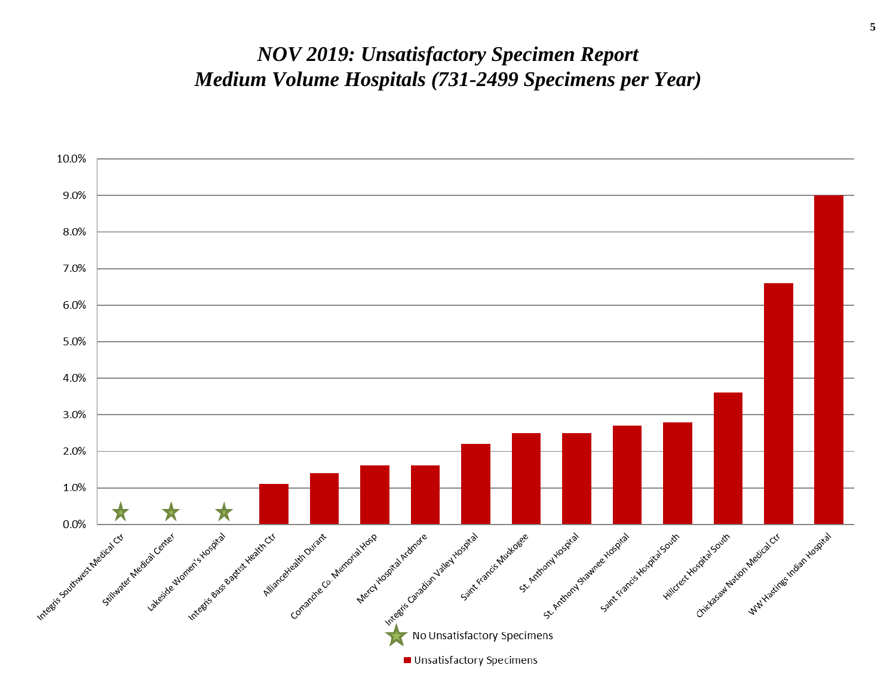#### *NOV 2019: Unsatisfactory Specimen Report Medium Volume Hospitals (731-2499 Specimens per Year)*

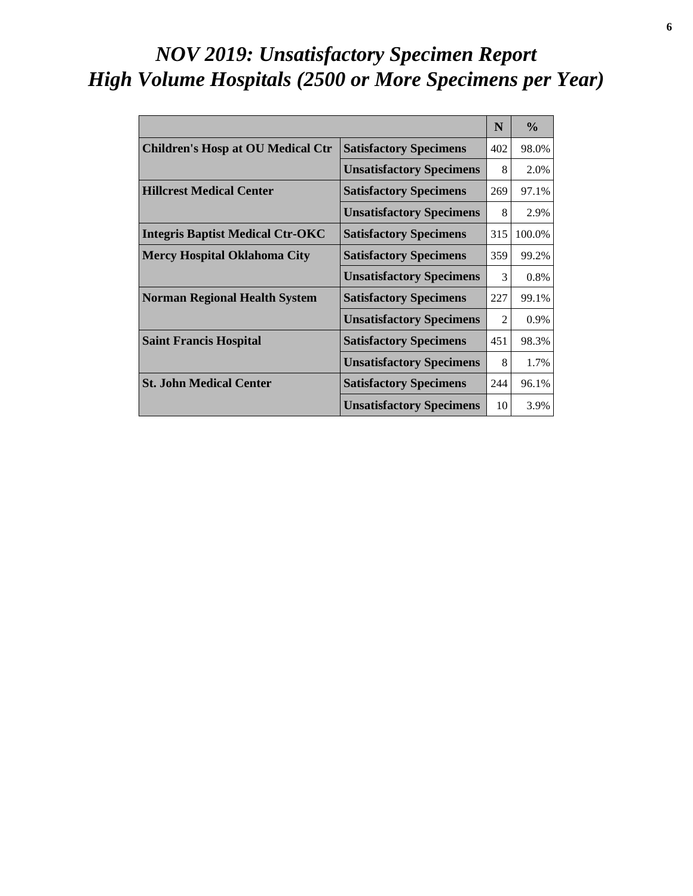# *NOV 2019: Unsatisfactory Specimen Report High Volume Hospitals (2500 or More Specimens per Year)*

|                                          |                                 | N              | $\frac{0}{0}$ |
|------------------------------------------|---------------------------------|----------------|---------------|
| <b>Children's Hosp at OU Medical Ctr</b> | <b>Satisfactory Specimens</b>   | 402            | 98.0%         |
|                                          | <b>Unsatisfactory Specimens</b> | 8              | 2.0%          |
| <b>Hillcrest Medical Center</b>          | <b>Satisfactory Specimens</b>   | 269            | 97.1%         |
|                                          | <b>Unsatisfactory Specimens</b> | 8              | 2.9%          |
| <b>Integris Baptist Medical Ctr-OKC</b>  | <b>Satisfactory Specimens</b>   | 315            | 100.0%        |
| <b>Mercy Hospital Oklahoma City</b>      | <b>Satisfactory Specimens</b>   | 359            | 99.2%         |
|                                          | <b>Unsatisfactory Specimens</b> | 3              | 0.8%          |
| <b>Norman Regional Health System</b>     | <b>Satisfactory Specimens</b>   | 227            | 99.1%         |
|                                          | <b>Unsatisfactory Specimens</b> | $\mathfrak{D}$ | 0.9%          |
| <b>Saint Francis Hospital</b>            | <b>Satisfactory Specimens</b>   | 451            | 98.3%         |
|                                          | <b>Unsatisfactory Specimens</b> | 8              | 1.7%          |
| <b>St. John Medical Center</b>           | <b>Satisfactory Specimens</b>   | 244            | 96.1%         |
|                                          | <b>Unsatisfactory Specimens</b> | 10             | 3.9%          |